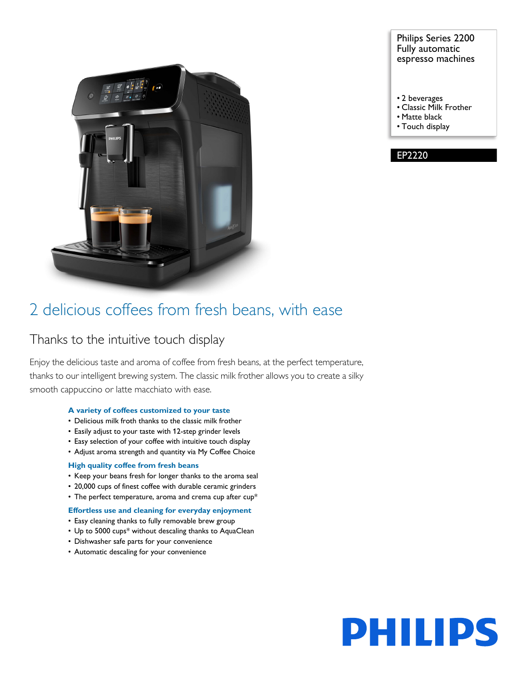

### Philips Series 2200 Fully automatic espresso machines

- 2 beverages
- Classic Milk Frother
- Matte black
- Touch display

EP2220

# 2 delicious coffees from fresh beans, with ease

## Thanks to the intuitive touch display

Enjoy the delicious taste and aroma of coffee from fresh beans, at the perfect temperature, thanks to our intelligent brewing system. The classic milk frother allows you to create a silky smooth cappuccino or latte macchiato with ease.

#### **A variety of coffees customized to your taste**

- Delicious milk froth thanks to the classic milk frother
- Easily adjust to your taste with 12-step grinder levels
- Easy selection of your coffee with intuitive touch display
- Adjust aroma strength and quantity via My Coffee Choice

#### **High quality coffee from fresh beans**

- Keep your beans fresh for longer thanks to the aroma seal
- 20,000 cups of finest coffee with durable ceramic grinders
- The perfect temperature, aroma and crema cup after cup\*

#### **Effortless use and cleaning for everyday enjoyment**

- Easy cleaning thanks to fully removable brew group
- Up to 5000 cups\* without descaling thanks to AquaClean
- Dishwasher safe parts for your convenience
- Automatic descaling for your convenience

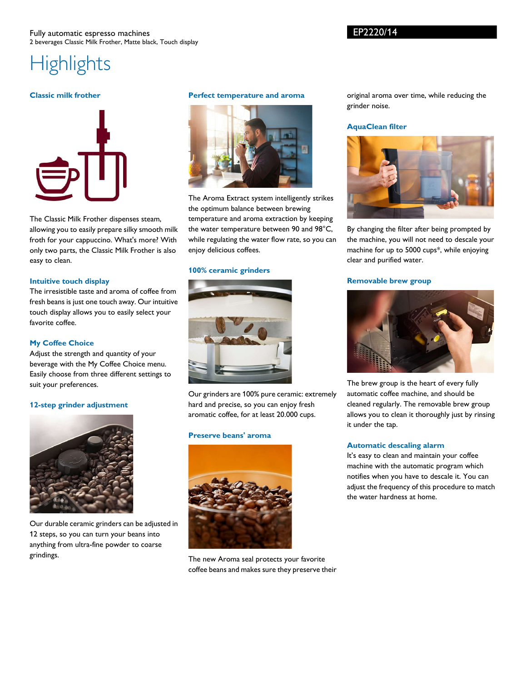#### Fully automatic espresso machines 2 beverages Classic Milk Frother, Matte black, Touch display

#### EP2220/14

# **Highlights**

#### **Classic milk frother**



The Classic Milk Frother dispenses steam, allowing you to easily prepare silky smooth milk froth for your cappuccino. What's more? With only two parts, the Classic Milk Frother is also easy to clean.

#### **Intuitive touch display**

The irresistible taste and aroma of coffee from fresh beans is just one touch away. Our intuitive touch display allows you to easily select your favorite coffee.

#### **My Coffee Choice**

Adjust the strength and quantity of your beverage with the My Coffee Choice menu. Easily choose from three different settings to suit your preferences.

#### **12-step grinder adjustment**



Our durable ceramic grinders can be adjusted in 12 steps, so you can turn your beans into anything from ultra-fine powder to coarse grindings.

#### **Perfect temperature and aroma**



The Aroma Extract system intelligently strikes the optimum balance between brewing temperature and aroma extraction by keeping the water temperature between 90 and 98°C, while regulating the water flow rate, so you can enjoy delicious coffees.

#### **100% ceramic grinders**



Our grinders are 100% pure ceramic: extremely hard and precise, so you can enjoy fresh aromatic coffee, for at least 20.000 cups.

#### **Preserve beans' aroma**



The new Aroma seal protects your favorite coffee beans and makes sure they preserve their original aroma over time, while reducing the grinder noise.

#### **AquaClean filter**



By changing the filter after being prompted by the machine, you will not need to descale your machine for up to 5000 cups\*, while enjoying clear and purified water.

#### **Removable brew group**



The brew group is the heart of every fully automatic coffee machine, and should be cleaned regularly. The removable brew group allows you to clean it thoroughly just by rinsing it under the tap.

#### **Automatic descaling alarm**

It's easy to clean and maintain your coffee machine with the automatic program which notifies when you have to descale it. You can adjust the frequency of this procedure to match the water hardness at home.